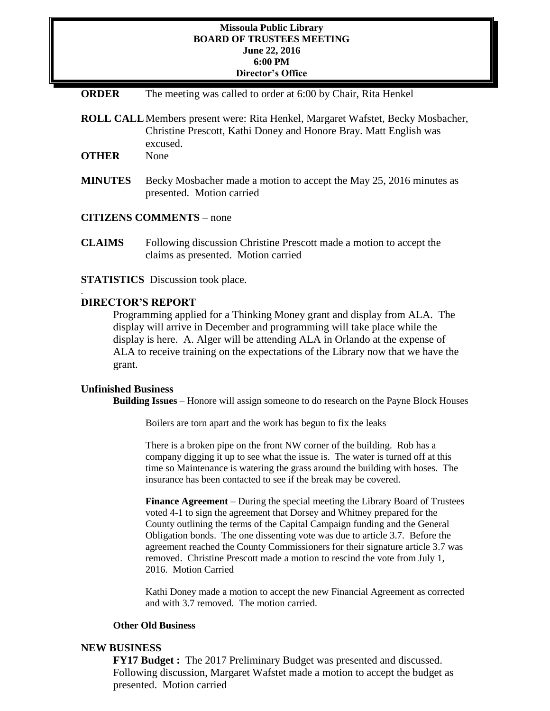## **Missoula Public Library BOARD OF TRUSTEES MEETING June 22, 2016 6:00 PM Director's Office**

**ORDER** The meeting was called to order at 6:00 by Chair, Rita Henkel

**ROLL CALL**Members present were: Rita Henkel, Margaret Wafstet, Becky Mosbacher, Christine Prescott, Kathi Doney and Honore Bray. Matt English was excused.

**OTHER** None

**MINUTES** Becky Mosbacher made a motion to accept the May 25, 2016 minutes as presented. Motion carried

**CITIZENS COMMENTS** – none

**CLAIMS** Following discussion Christine Prescott made a motion to accept the claims as presented. Motion carried

**STATISTICS** Discussion took place.

## **DIRECTOR'S REPORT**

.

Programming applied for a Thinking Money grant and display from ALA. The display will arrive in December and programming will take place while the display is here. A. Alger will be attending ALA in Orlando at the expense of ALA to receive training on the expectations of the Library now that we have the grant.

## **Unfinished Business**

**Building Issues** – Honore will assign someone to do research on the Payne Block Houses

Boilers are torn apart and the work has begun to fix the leaks

There is a broken pipe on the front NW corner of the building. Rob has a company digging it up to see what the issue is. The water is turned off at this time so Maintenance is watering the grass around the building with hoses. The insurance has been contacted to see if the break may be covered.

**Finance Agreement** – During the special meeting the Library Board of Trustees voted 4-1 to sign the agreement that Dorsey and Whitney prepared for the County outlining the terms of the Capital Campaign funding and the General Obligation bonds. The one dissenting vote was due to article 3.7. Before the agreement reached the County Commissioners for their signature article 3.7 was removed. Christine Prescott made a motion to rescind the vote from July 1, 2016. Motion Carried

Kathi Doney made a motion to accept the new Financial Agreement as corrected and with 3.7 removed. The motion carried.

## **Other Old Business**

## **NEW BUSINESS**

**FY17 Budget :** The 2017 Preliminary Budget was presented and discussed. Following discussion, Margaret Wafstet made a motion to accept the budget as presented. Motion carried